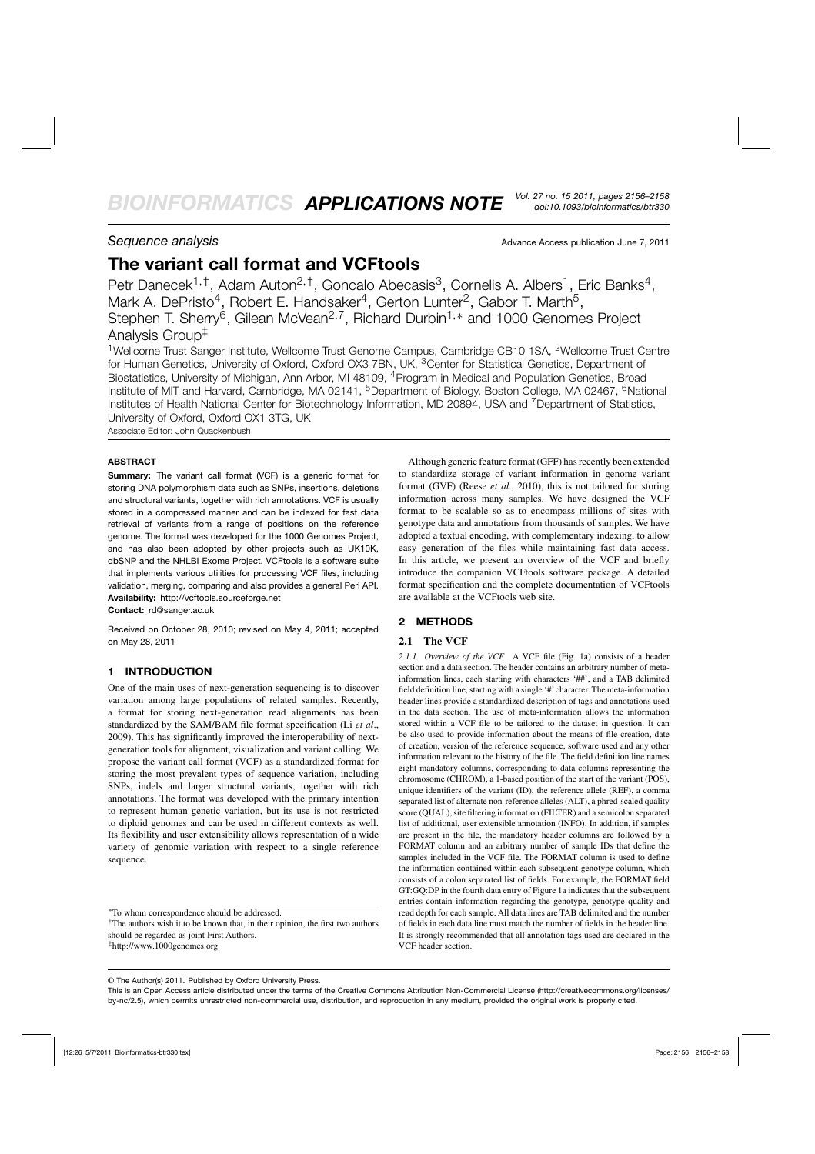**Sequence analysis Sequence analysis** Advance Access publication June 7, 2011

# **The variant call format and VCFtools**

Petr Danecek<sup>1, †</sup>, Adam Auton<sup>2, †</sup>, Goncalo Abecasis<sup>3</sup>, Cornelis A. Albers<sup>1</sup>, Eric Banks<sup>4</sup>, Mark A. DePristo<sup>4</sup>, Robert E. Handsaker<sup>4</sup>, Gerton Lunter<sup>2</sup>, Gabor T. Marth<sup>5</sup>, Stephen T. Sherry<sup>6</sup>, Gilean McVean<sup>2,7</sup>, Richard Durbin<sup>1,∗</sup> and 1000 Genomes Project Analysis Group‡

<sup>1</sup>Wellcome Trust Sanger Institute, Wellcome Trust Genome Campus, Cambridge CB10 1SA, <sup>2</sup>Wellcome Trust Centre for Human Genetics, University of Oxford, Oxford OX3 7BN, UK, <sup>3</sup>Center for Statistical Genetics, Department of Biostatistics, University of Michigan, Ann Arbor, MI 48109, 4Program in Medical and Population Genetics, Broad Institute of MIT and Harvard, Cambridge, MA 02141, <sup>5</sup>Department of Biology, Boston College, MA 02467, <sup>6</sup>National Institutes of Health National Center for Biotechnology Information, MD 20894, USA and <sup>7</sup>Department of Statistics, University of Oxford, Oxford OX1 3TG, UK

Associate Editor: John Quackenbush

#### **ABSTRACT**

**Summary:** The variant call format (VCF) is a generic format for storing DNA polymorphism data such as SNPs, insertions, deletions and structural variants, together with rich annotations. VCF is usually stored in a compressed manner and can be indexed for fast data retrieval of variants from a range of positions on the reference genome. The format was developed for the 1000 Genomes Project, and has also been adopted by other projects such as UK10K, dbSNP and the NHLBI Exome Project. VCFtools is a software suite that implements various utilities for processing VCF files, including validation, merging, comparing and also provides a general Perl API. **Availability:** http://vcftools.sourceforge.net

**Contact:** rd@sanger.ac.uk

Received on October 28, 2010; revised on May 4, 2011; accepted on May 28, 2011

### **1 INTRODUCTION**

One of the main uses of next-generation sequencing is to discover variation among large populations of related samples. Recently, a format for storing next-generation read alignments has been standardized by the SAM/BAM file format specification (Li *et al*., 2009). This has significantly improved the interoperability of nextgeneration tools for alignment, visualization and variant calling. We propose the variant call format (VCF) as a standardized format for storing the most prevalent types of sequence variation, including SNPs, indels and larger structural variants, together with rich annotations. The format was developed with the primary intention to represent human genetic variation, but its use is not restricted to diploid genomes and can be used in different contexts as well. Its flexibility and user extensibility allows representation of a wide variety of genomic variation with respect to a single reference sequence.

∗To whom correspondence should be addressed.

†The authors wish it to be known that, in their opinion, the first two authors should be regarded as joint First Authors.

‡http://www.1000genomes.org

Although generic feature format (GFF) has recently been extended to standardize storage of variant information in genome variant format (GVF) (Reese *et al*., 2010), this is not tailored for storing information across many samples. We have designed the VCF format to be scalable so as to encompass millions of sites with genotype data and annotations from thousands of samples. We have adopted a textual encoding, with complementary indexing, to allow easy generation of the files while maintaining fast data access. In this article, we present an overview of the VCF and briefly introduce the companion VCFtools software package. A detailed format specification and the complete documentation of VCFtools are available at the VCFtools web site.

### **2 METHODS**

#### **2.1 The VCF**

*2.1.1 Overview of the VCF* A VCF file (Fig. 1a) consists of a header section and a data section. The header contains an arbitrary number of metainformation lines, each starting with characters '##', and a TAB delimited field definition line, starting with a single '#' character. The meta-information header lines provide a standardized description of tags and annotations used in the data section. The use of meta-information allows the information stored within a VCF file to be tailored to the dataset in question. It can be also used to provide information about the means of file creation, date of creation, version of the reference sequence, software used and any other information relevant to the history of the file. The field definition line names eight mandatory columns, corresponding to data columns representing the chromosome (CHROM), a 1-based position of the start of the variant (POS), unique identifiers of the variant (ID), the reference allele (REF), a comma separated list of alternate non-reference alleles (ALT), a phred-scaled quality score (QUAL), site filtering information (FILTER) and a semicolon separated list of additional, user extensible annotation (INFO). In addition, if samples are present in the file, the mandatory header columns are followed by a FORMAT column and an arbitrary number of sample IDs that define the samples included in the VCF file. The FORMAT column is used to define the information contained within each subsequent genotype column, which consists of a colon separated list of fields. For example, the FORMAT field GT:GQ:DP in the fourth data entry of Figure 1a indicates that the subsequent entries contain information regarding the genotype, genotype quality and read depth for each sample. All data lines are TAB delimited and the number of fields in each data line must match the number of fields in the header line. It is strongly recommended that all annotation tags used are declared in the VCF header section.

© The Author(s) 2011. Published by Oxford University Press.

This is an Open Access article distributed under the terms of the Creative Commons Attribution Non-Commercial License (http://creativecommons.org/licenses/ by-nc/2.5), which permits unrestricted non-commercial use, distribution, and reproduction in any medium, provided the original work is properly cited.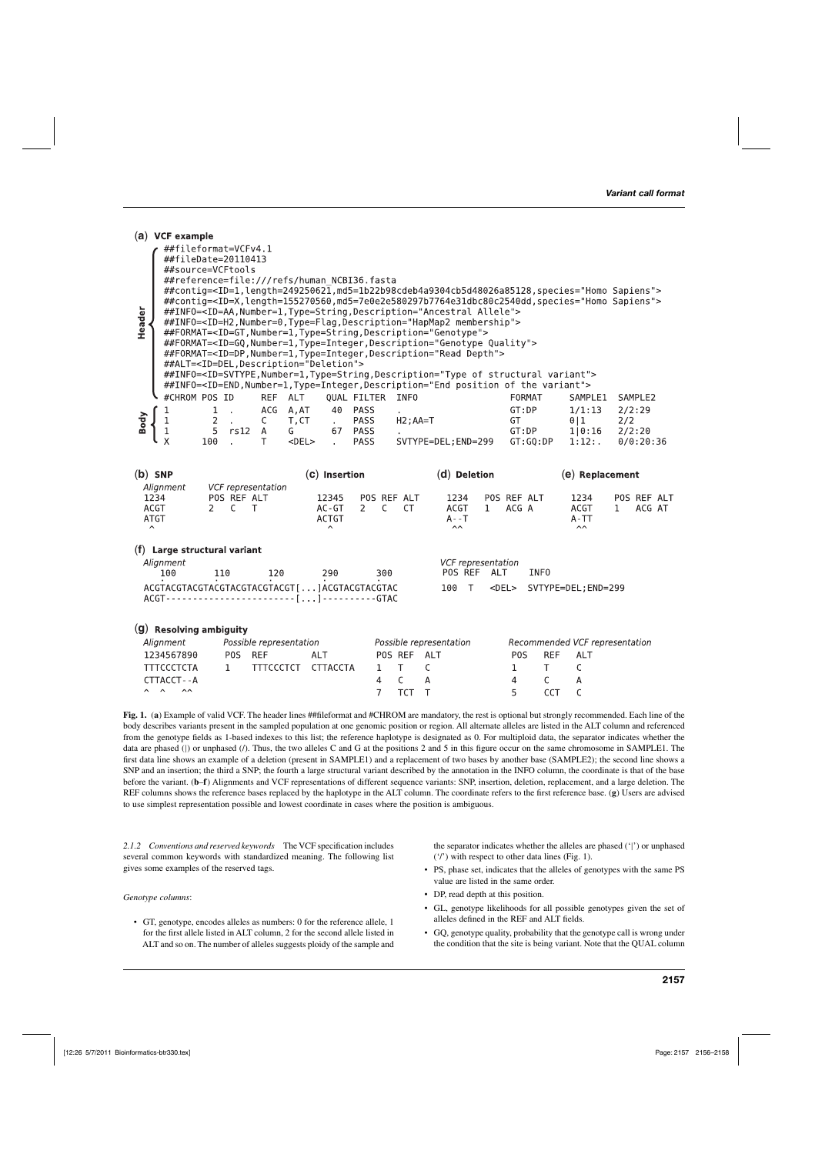|                         |                                                                                                                                                                                                                                                                                                                                                                                                                                                                                                                                                                                                                                                                                                                                                                                                                                                                                                                                                                                                                                                                                                                                                                                                                                                                                                                        | (a) VCF example              |                                                                          |                    |              |                                        |              |                  |                                        |  |                                                             |                              |     |                          |                                                           |                                               |              |                      |                  |              |                                        |     |                  |                       |  |
|-------------------------|------------------------------------------------------------------------------------------------------------------------------------------------------------------------------------------------------------------------------------------------------------------------------------------------------------------------------------------------------------------------------------------------------------------------------------------------------------------------------------------------------------------------------------------------------------------------------------------------------------------------------------------------------------------------------------------------------------------------------------------------------------------------------------------------------------------------------------------------------------------------------------------------------------------------------------------------------------------------------------------------------------------------------------------------------------------------------------------------------------------------------------------------------------------------------------------------------------------------------------------------------------------------------------------------------------------------|------------------------------|--------------------------------------------------------------------------|--------------------|--------------|----------------------------------------|--------------|------------------|----------------------------------------|--|-------------------------------------------------------------|------------------------------|-----|--------------------------|-----------------------------------------------------------|-----------------------------------------------|--------------|----------------------|------------------|--------------|----------------------------------------|-----|------------------|-----------------------|--|
| Header                  | ##fileformat=VCFv4.1<br>##fileDate=20110413<br>##source=VCFtools<br>##reference=file:///refs/human NCBI36.fasta<br>="#contig= <id=1,length=249250621,md5=1b22b98cdeb4a9304cb5d48026a85128,species="homo sapiens#<br="">##contig=<id=x,length=155270560,md5=7e0e2e580297b7764e31dbc80c2540dd,species="homo sapiens"=""><br/>##INFO=<id=aa, description="Ancestral Allele" number="1," type="String,"><br/>##INFO=<id=h2, description="HapMap2 membership" number="0," type="Flag,"><br/>##FORMAT=<id=gt, description="Genotype" number="1," type="String,"><br/>##FORMAT=<id=gq,number=1,type=integer,description="genotype quality"=""><br/>##FORMAT=<id=dp, description="Read Depth" number="1," type="Integer,"><br/>##ALT=<id=del, description="Deletion"><br/>##INFO=<id=svtype,number=1,type=string,description="type of="" structural="" variant"=""><br/>##INF0=<id=end,number=1,type=integer,description="end of="" position="" the="" variant"=""></id=end,number=1,type=integer,description="end></id=svtype,number=1,type=string,description="type></id=del,></id=dp,></id=gq,number=1,type=integer,description="genotype></id=gt,></id=h2,></id=aa,></id=x,length=155270560,md5=7e0e2e580297b7764e31dbc80c2540dd,species="homo></id=1,length=249250621,md5=1b22b98cdeb4a9304cb5d48026a85128,species="homo> |                              |                                                                          |                    |              |                                        |              |                  |                                        |  |                                                             |                              |     |                          |                                                           |                                               |              |                      |                  |              |                                        |     |                  |                       |  |
|                         |                                                                                                                                                                                                                                                                                                                                                                                                                                                                                                                                                                                                                                                                                                                                                                                                                                                                                                                                                                                                                                                                                                                                                                                                                                                                                                                        | #CHROM POS ID                |                                                                          |                    |              |                                        |              |                  | REF ALT                                |  | <b>OUAL FILTER</b>                                          |                              |     | <b>INFO</b>              |                                                           |                                               |              |                      | FORMAT           |              | SAMPLE1                                |     | SAMPLE2          |                       |  |
| Body                    |                                                                                                                                                                                                                                                                                                                                                                                                                                                                                                                                                                                                                                                                                                                                                                                                                                                                                                                                                                                                                                                                                                                                                                                                                                                                                                                        | 1<br>1<br>1<br>$\sf X$       |                                                                          | 1<br>2<br>5<br>100 |              | $\mathcal{L}^{\mathcal{L}}$<br>rs12    | C<br>Α<br>T. |                  | ACG A, AT<br>T, CT<br>G<br>$<$ DEL $>$ |  | 40<br>$\mathbf{r}$ .<br>67                                  | PASS<br>PASS<br>PASS<br>PASS |     | $H2$ ; $AA = T$          |                                                           | SVTYPE=DEL;END=299                            |              | GT:DP<br>GT<br>GT:DP | GT:GO:DP         |              | 1/1:13<br>011<br>1 0:16<br>$1:12:$ .   | 2/2 | 2/2:29<br>2/2:20 | 0/0:20:36             |  |
| $(b)$ SNP               |                                                                                                                                                                                                                                                                                                                                                                                                                                                                                                                                                                                                                                                                                                                                                                                                                                                                                                                                                                                                                                                                                                                                                                                                                                                                                                                        |                              |                                                                          |                    |              |                                        |              |                  |                                        |  | (c) Insertion                                               |                              |     |                          |                                                           | (d) Deletion                                  |              |                      |                  |              | (e) Replacement                        |     |                  |                       |  |
| $\widehat{\phantom{a}}$ | 1234<br>ACGT<br><b>ATGT</b>                                                                                                                                                                                                                                                                                                                                                                                                                                                                                                                                                                                                                                                                                                                                                                                                                                                                                                                                                                                                                                                                                                                                                                                                                                                                                            | Alignment                    |                                                                          | $\overline{2}$     |              | VCF representation<br>POS REF ALT<br>C | T            |                  |                                        |  | 12345<br>$AC - GT$<br><b>ACTGT</b><br>$\boldsymbol{\wedge}$ | 2                            | C   | POS REF ALT<br><b>CT</b> |                                                           | 1234<br>ACGT<br>$A - T$<br>$\wedge\wedge$     | $\mathbf{1}$ | POS REF ALT<br>ACG A |                  |              | 1234<br>ACGT<br>A-TT<br>$\wedge\wedge$ | 1   |                  | POS REF ALT<br>ACG AT |  |
|                         |                                                                                                                                                                                                                                                                                                                                                                                                                                                                                                                                                                                                                                                                                                                                                                                                                                                                                                                                                                                                                                                                                                                                                                                                                                                                                                                        | (f) Large structural variant |                                                                          |                    |              |                                        |              |                  |                                        |  |                                                             |                              |     |                          |                                                           |                                               |              |                      |                  |              |                                        |     |                  |                       |  |
|                         |                                                                                                                                                                                                                                                                                                                                                                                                                                                                                                                                                                                                                                                                                                                                                                                                                                                                                                                                                                                                                                                                                                                                                                                                                                                                                                                        | Alignment<br>100             |                                                                          |                    | 110          |                                        |              | 120              |                                        |  | 290<br>ACGTACGTACGTACGTACGTACGTACGT [ ] ACGTACGTACGTAC      |                              | 300 |                          |                                                           | <b>VCF</b> representation<br>POS REF<br>100 T | <b>ALT</b>   |                      | INF <sub>0</sub> |              | <del> SVTYPE=DEL; END=299</del>        |     |                  |                       |  |
|                         |                                                                                                                                                                                                                                                                                                                                                                                                                                                                                                                                                                                                                                                                                                                                                                                                                                                                                                                                                                                                                                                                                                                                                                                                                                                                                                                        | (g) Resolving ambiguity      |                                                                          |                    |              |                                        |              |                  |                                        |  |                                                             |                              |     |                          |                                                           |                                               |              |                      |                  |              |                                        |     |                  |                       |  |
|                         |                                                                                                                                                                                                                                                                                                                                                                                                                                                                                                                                                                                                                                                                                                                                                                                                                                                                                                                                                                                                                                                                                                                                                                                                                                                                                                                        | Alignment                    |                                                                          |                    |              |                                        |              |                  |                                        |  |                                                             |                              |     |                          | Possible representation<br>Recommended VCF representation |                                               |              |                      |                  |              |                                        |     |                  |                       |  |
|                         |                                                                                                                                                                                                                                                                                                                                                                                                                                                                                                                                                                                                                                                                                                                                                                                                                                                                                                                                                                                                                                                                                                                                                                                                                                                                                                                        |                              | Possible representation<br><b>REF</b><br>1234567890<br><b>POS</b><br>ALT |                    |              |                                        |              |                  |                                        |  | POS REF                                                     | ALT                          |     |                          | P <sub>0</sub> S                                          |                                               | <b>REF</b>   | <b>ALT</b>           |                  |              |                                        |     |                  |                       |  |
|                         |                                                                                                                                                                                                                                                                                                                                                                                                                                                                                                                                                                                                                                                                                                                                                                                                                                                                                                                                                                                                                                                                                                                                                                                                                                                                                                                        | <b>TTTCCCTCTA</b>            |                                                                          |                    | $\mathbf{1}$ |                                        |              | <b>TTTCCCTCT</b> |                                        |  | CTTACCTA                                                    |                              | 1   | T                        | C                                                         |                                               |              | 1                    |                  | T            | C                                      |     |                  |                       |  |
|                         |                                                                                                                                                                                                                                                                                                                                                                                                                                                                                                                                                                                                                                                                                                                                                                                                                                                                                                                                                                                                                                                                                                                                                                                                                                                                                                                        | CTTACCT--A                   |                                                                          |                    |              |                                        |              |                  |                                        |  |                                                             |                              | 4   | $\mathsf{C}$             | Α                                                         |                                               |              | 4                    |                  | $\mathsf{C}$ | Α                                      |     |                  |                       |  |

**Fig. 1.** (**a**) Example of valid VCF. The header lines ##fileformat and #CHROM are mandatory, the rest is optional but strongly recommended. Each line of the body describes variants present in the sampled population at one genomic position or region. All alternate alleles are listed in the ALT column and referenced from the genotype fields as 1-based indexes to this list; the reference haplotype is designated as 0. For multiploid data, the separator indicates whether the data are phased (|) or unphased (/). Thus, the two alleles C and G at the positions 2 and 5 in this figure occur on the same chromosome in SAMPLE1. The first data line shows an example of a deletion (present in SAMPLE1) and a replacement of two bases by another base (SAMPLE2); the second line shows a SNP and an insertion; the third a SNP; the fourth a large structural variant described by the annotation in the INFO column, the coordinate is that of the base before the variant. (**b–f**) Alignments and VCF representations of different sequence variants: SNP, insertion, deletion, replacement, and a large deletion. The REF columns shows the reference bases replaced by the haplotype in the ALT column. The coordinate refers to the first reference base. (**g**) Users are advised to use simplest representation possible and lowest coordinate in cases where the position is ambiguous.

**TCT**  $\top$ 

 $\overline{7}$ 

*2.1.2 Conventions and reserved keywords* The VCF specification includes several common keywords with standardized meaning. The following list gives some examples of the reserved tags.

#### *Genotype columns*:

 $\sim$   $\sim$ 

 $\sim$ 

• GT, genotype, encodes alleles as numbers: 0 for the reference allele, 1 for the first allele listed in ALT column, 2 for the second allele listed in ALT and so on. The number of alleles suggests ploidy of the sample and

the separator indicates whether the alleles are phased ('|') or unphased ('/') with respect to other data lines (Fig. 1).

- PS, phase set, indicates that the alleles of genotypes with the same PS value are listed in the same order.
- DP, read depth at this position.

 $\overline{5}$ 

CCT

 $\mathsf{C}$ 

- GL, genotype likelihoods for all possible genotypes given the set of alleles defined in the REF and ALT fields.
- GQ, genotype quality, probability that the genotype call is wrong under the condition that the site is being variant. Note that the QUAL column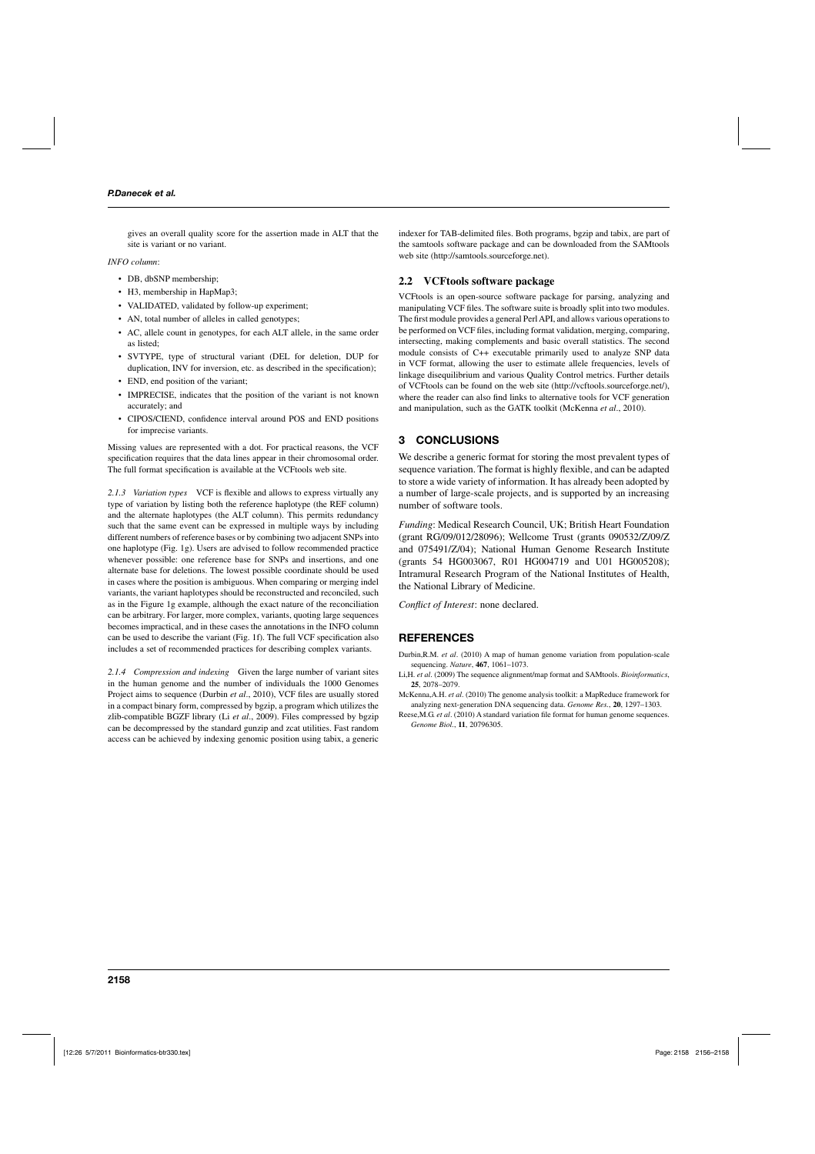gives an overall quality score for the assertion made in ALT that the site is variant or no variant.

#### *INFO column*:

- DB, dbSNP membership;
- H3, membership in HapMap3;
- VALIDATED, validated by follow-up experiment;
- AN, total number of alleles in called genotypes;
- AC, allele count in genotypes, for each ALT allele, in the same order as listed;
- SVTYPE, type of structural variant (DEL for deletion, DUP for duplication, INV for inversion, etc. as described in the specification);
- END, end position of the variant;
- IMPRECISE, indicates that the position of the variant is not known accurately; and
- CIPOS/CIEND, confidence interval around POS and END positions for imprecise variants.

Missing values are represented with a dot. For practical reasons, the VCF specification requires that the data lines appear in their chromosomal order. The full format specification is available at the VCFtools web site.

*2.1.3 Variation types* VCF is flexible and allows to express virtually any type of variation by listing both the reference haplotype (the REF column) and the alternate haplotypes (the ALT column). This permits redundancy such that the same event can be expressed in multiple ways by including different numbers of reference bases or by combining two adjacent SNPs into one haplotype (Fig. 1g). Users are advised to follow recommended practice whenever possible: one reference base for SNPs and insertions, and one alternate base for deletions. The lowest possible coordinate should be used in cases where the position is ambiguous. When comparing or merging indel variants, the variant haplotypes should be reconstructed and reconciled, such as in the Figure 1g example, although the exact nature of the reconciliation can be arbitrary. For larger, more complex, variants, quoting large sequences becomes impractical, and in these cases the annotations in the INFO column can be used to describe the variant (Fig. 1f). The full VCF specification also includes a set of recommended practices for describing complex variants.

*2.1.4 Compression and indexing* Given the large number of variant sites in the human genome and the number of individuals the 1000 Genomes Project aims to sequence (Durbin *et al*., 2010), VCF files are usually stored in a compact binary form, compressed by bgzip, a program which utilizes the zlib-compatible BGZF library (Li *et al*., 2009). Files compressed by bgzip can be decompressed by the standard gunzip and zcat utilities. Fast random access can be achieved by indexing genomic position using tabix, a generic

indexer for TAB-delimited files. Both programs, bgzip and tabix, are part of the samtools software package and can be downloaded from the SAMtools web site (http://samtools.sourceforge.net).

#### **2.2 VCFtools software package**

VCFtools is an open-source software package for parsing, analyzing and manipulating VCF files. The software suite is broadly split into two modules. The first module provides a general PerlAPI, and allows various operations to be performed on VCF files, including format validation, merging, comparing, intersecting, making complements and basic overall statistics. The second module consists of C++ executable primarily used to analyze SNP data in VCF format, allowing the user to estimate allele frequencies, levels of linkage disequilibrium and various Quality Control metrics. Further details of VCFtools can be found on the web site (http://vcftools.sourceforge.net/), where the reader can also find links to alternative tools for VCF generation and manipulation, such as the GATK toolkit (McKenna *et al*., 2010).

#### **3 CONCLUSIONS**

We describe a generic format for storing the most prevalent types of sequence variation. The format is highly flexible, and can be adapted to store a wide variety of information. It has already been adopted by a number of large-scale projects, and is supported by an increasing number of software tools.

*Funding*: Medical Research Council, UK; British Heart Foundation (grant RG/09/012/28096); Wellcome Trust (grants 090532/Z/09/Z and 075491/Z/04); National Human Genome Research Institute (grants 54 HG003067, R01 HG004719 and U01 HG005208); Intramural Research Program of the National Institutes of Health, the National Library of Medicine.

*Conflict of Interest*: none declared.

#### **REFERENCES**

Durbin,R.M. *et al*. (2010) A map of human genome variation from population-scale sequencing. *Nature*, **467**, 1061–1073.

- Li,H. *et al*. (2009) The sequence alignment/map format and SAMtools. *Bioinformatics*, **25**, 2078–2079.
- McKenna,A.H. *et al*. (2010) The genome analysis toolkit: a MapReduce framework for analyzing next-generation DNA sequencing data. *Genome Res.*, **20**, 1297–1303.
- Reese,M.G. *et al*. (2010) A standard variation file format for human genome sequences. *Genome Biol.*, **11**, 20796305.